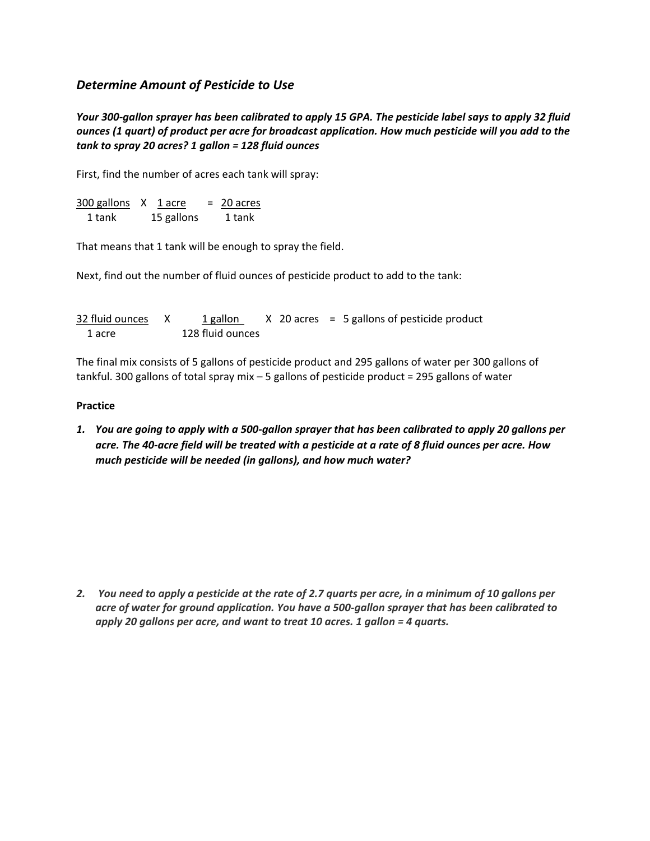## *Determine Amount of Pesticide to Use*

*Your 300-gallon sprayer has been calibrated to apply 15 GPA. The pesticide label says to apply 32 fluid ounces (1 quart) of product per acre for broadcast application. How much pesticide will you add to the tank to spray 20 acres? 1 gallon = 128 fluid ounces*

First, find the number of acres each tank will spray:

 $300$  gallons  $X$  1 acre = 20 acres 1 tank 15 gallons 1 tank

That means that 1 tank will be enough to spray the field.

Next, find out the number of fluid ounces of pesticide product to add to the tank:

| 32 fluid ounces X | 1 gallon         |  | $X$ 20 acres = 5 gallons of pesticide product |
|-------------------|------------------|--|-----------------------------------------------|
| 1 acre            | 128 fluid ounces |  |                                               |

The final mix consists of 5 gallons of pesticide product and 295 gallons of water per 300 gallons of tankful. 300 gallons of total spray mix – 5 gallons of pesticide product = 295 gallons of water

## **Practice**

*1. You are going to apply with a 500-gallon sprayer that has been calibrated to apply 20 gallons per acre. The 40-acre field will be treated with a pesticide at a rate of 8 fluid ounces per acre. How much pesticide will be needed (in gallons), and how much water?*

*2. You need to apply a pesticide at the rate of 2.7 quarts per acre, in a minimum of 10 gallons per acre of water for ground application. You have a 500-gallon sprayer that has been calibrated to apply 20 gallons per acre, and want to treat 10 acres. 1 gallon = 4 quarts.*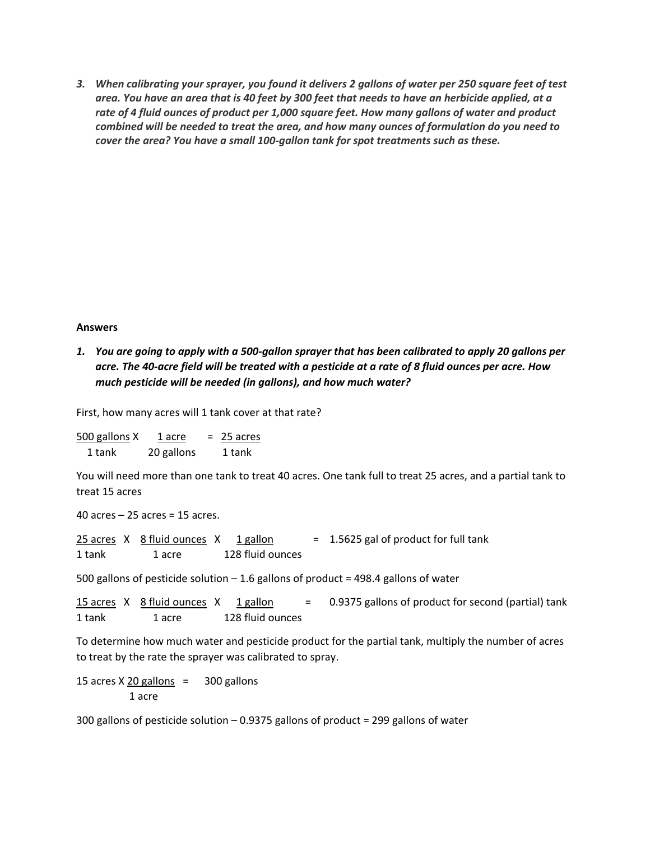*3. When calibrating your sprayer, you found it delivers 2 gallons of water per 250 square feet of test area. You have an area that is 40 feet by 300 feet that needs to have an herbicide applied, at a rate of 4 fluid ounces of product per 1,000 square feet. How many gallons of water and product combined will be needed to treat the area, and how many ounces of formulation do you need to cover the area? You have a small 100-gallon tank for spot treatments such as these.*

## **Answers**

*1. You are going to apply with a 500-gallon sprayer that has been calibrated to apply 20 gallons per acre. The 40-acre field will be treated with a pesticide at a rate of 8 fluid ounces per acre. How much pesticide will be needed (in gallons), and how much water?*

First, how many acres will 1 tank cover at that rate?

 $500$  gallons  $X$   $1$  acre  $= 25$  acres 1 tank 20 gallons 1 tank

You will need more than one tank to treat 40 acres. One tank full to treat 25 acres, and a partial tank to treat 15 acres

40 acres – 25 acres = 15 acres.

 $25$  acres X  $8$  fluid ounces X  $1$  gallon = 1.5625 gal of product for full tank 1 tank 1 acre 128 fluid ounces

500 gallons of pesticide solution  $-1.6$  gallons of product = 498.4 gallons of water

15 acres  $X$  8 fluid ounces  $X$  1 gallon = 0.9375 gallons of product for second (partial) tank 1 tank 1 acre 128 fluid ounces

To determine how much water and pesticide product for the partial tank, multiply the number of acres to treat by the rate the sprayer was calibrated to spray.

15 acres  $X \geq 0$  gallons = 300 gallons 1 acre

300 gallons of pesticide solution – 0.9375 gallons of product = 299 gallons of water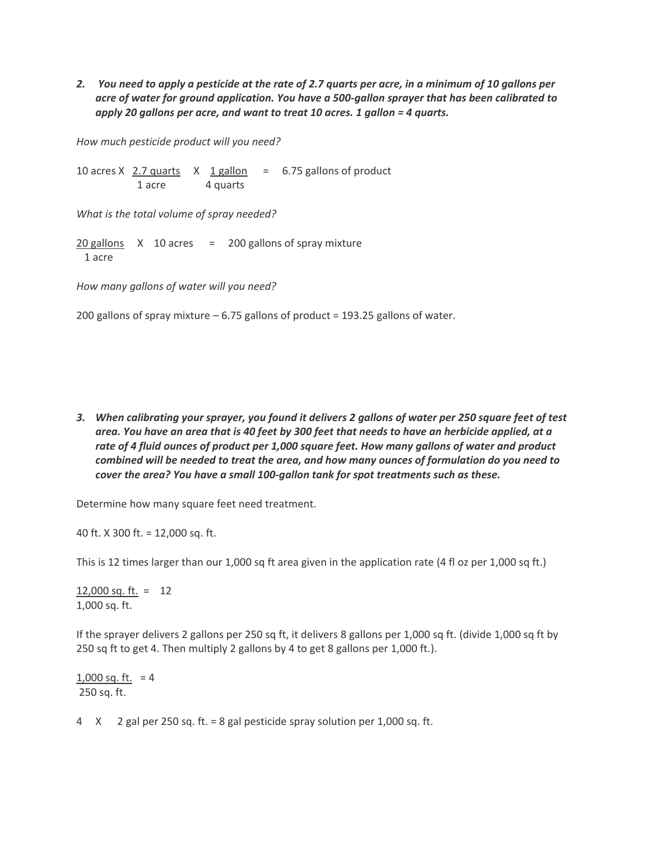*2. You need to apply a pesticide at the rate of 2.7 quarts per acre, in a minimum of 10 gallons per acre of water for ground application. You have a 500-gallon sprayer that has been calibrated to apply 20 gallons per acre, and want to treat 10 acres. 1 gallon = 4 quarts.*

*How much pesticide product will you need?*

10 acres X  $2.7$  quarts X  $1$  gallon = 6.75 gallons of product 1 acre 4 quarts

*What is the total volume of spray needed?*

 $20$  gallons  $X$  10 acres = 200 gallons of spray mixture 1 acre

*How many gallons of water will you need?*

200 gallons of spray mixture – 6.75 gallons of product = 193.25 gallons of water.

*3. When calibrating your sprayer, you found it delivers 2 gallons of water per 250 square feet of test area. You have an area that is 40 feet by 300 feet that needs to have an herbicide applied, at a rate of 4 fluid ounces of product per 1,000 square feet. How many gallons of water and product combined will be needed to treat the area, and how many ounces of formulation do you need to cover the area? You have a small 100-gallon tank for spot treatments such as these.*

Determine how many square feet need treatment.

40 ft. X 300 ft. = 12,000 sq. ft.

This is 12 times larger than our 1,000 sq ft area given in the application rate (4 fl oz per 1,000 sq ft.)

12,000 sq. ft. = 12 1,000 sq. ft.

If the sprayer delivers 2 gallons per 250 sq ft, it delivers 8 gallons per 1,000 sq ft. (divide 1,000 sq ft by 250 sq ft to get 4. Then multiply 2 gallons by 4 to get 8 gallons per 1,000 ft.).

 $1,000$  sq. ft. = 4 250 sq. ft.

4 X 2 gal per 250 sq. ft. = 8 gal pesticide spray solution per 1,000 sq. ft.